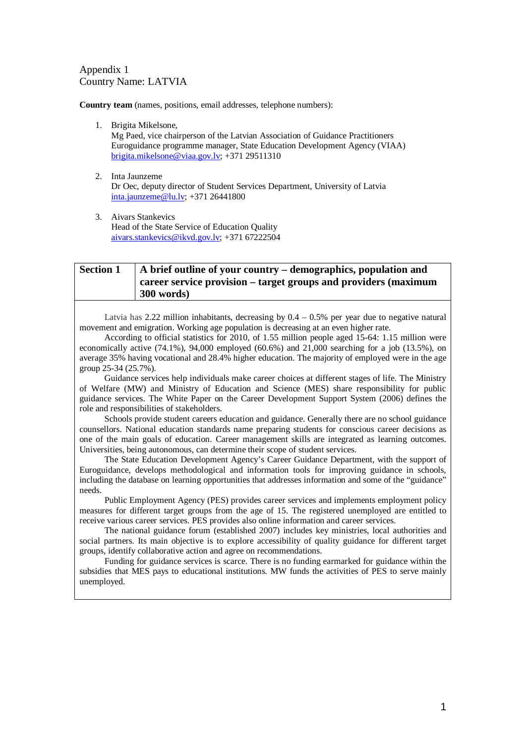#### Appendix 1 Country Name: LATVIA

**Country team** (names, positions, email addresses, telephone numbers):

- 1. Brigita Mikelsone,
	- Mg Paed, vice chairperson of the Latvian Association of Guidance Practitioners Euroguidance programme manager, State Education Development Agency (VIAA) [brigita.mikelsone@viaa.gov.lv;](mailto:brigita.mikelsone@viaa.gov.lv) +371 29511310
- 2. Inta Jaunzeme Dr Oec, deputy director of Student Services Department, University of Latvia [inta.jaunzeme@lu.lv;](mailto:inta.jaunzeme@lu.lv) +371 26441800
- 3. Aivars Stankevics Head of the State Service of Education Quality [aivars.stankevics@ikvd.gov.lv;](mailto:aivars.stankevics@ikvd.gov.lv) +371 67222504

#### **Section 1 A brief outline of your country – demographics, population and career service provision – target groups and providers (maximum 300 words)**

Latvia has 2.22 million inhabitants, decreasing by  $0.4 - 0.5\%$  per year due to negative natural movement and emigration. Working age population is decreasing at an even higher rate.

According to official statistics for 2010, of 1.55 million people aged 15-64: 1.15 million were economically active  $(74.1\%)$ ,  $94,000$  employed  $(60.6\%)$  and  $21,000$  searching for a job  $(13.5\%)$ , on average 35% having vocational and 28.4% higher education. The majority of employed were in the age group 25-34 (25.7%).

Guidance services help individuals make career choices at different stages of life. The Ministry of Welfare (MW) and Ministry of Education and Science (MES) share responsibility for public guidance services. The White Paper on the Career Development Support System (2006) defines the role and responsibilities of stakeholders.

Schools provide student careers education and guidance. Generally there are no school guidance counsellors. National education standards name preparing students for conscious career decisions as one of the main goals of education. Career management skills are integrated as learning outcomes. Universities, being autonomous, can determine their scope of student services.

The State Education Development Agency's Career Guidance Department, with the support of Euroguidance, develops methodological and information tools for improving guidance in schools, including the database on learning opportunities that addresses information and some of the "guidance" needs.

Public Employment Agency (PES) provides career services and implements employment policy measures for different target groups from the age of 15. The registered unemployed are entitled to receive various career services. PES provides also online information and career services.

The national guidance forum (established 2007) includes key ministries, local authorities and social partners. Its main objective is to explore accessibility of quality guidance for different target groups, identify collaborative action and agree on recommendations.

Funding for guidance services is scarce. There is no funding earmarked for guidance within the subsidies that MES pays to educational institutions. MW funds the activities of PES to serve mainly unemployed.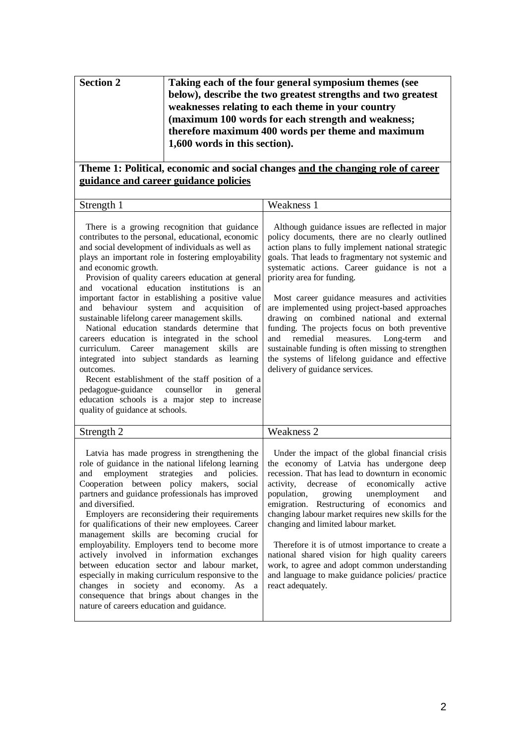| <b>Section 2</b> | Taking each of the four general symposium themes (see        |
|------------------|--------------------------------------------------------------|
|                  | below), describe the two greatest strengths and two greatest |
|                  | weaknesses relating to each theme in your country            |
|                  | (maximum 100 words for each strength and weakness;           |
|                  | therefore maximum 400 words per theme and maximum            |
|                  | 1,600 words in this section).                                |
|                  |                                                              |

## **Theme 1: Political, economic and social changes and the changing role of career guidance and career guidance policies**

| ╭<br>.<br>∸⊓∪<br>$\sim$ uvis<br>-<br>and the contract of the contract of | ---<br>$\sim$ $\sim$ $\sim$<br>w<br>:АК<br>TICAN<br><b>.</b> |
|--------------------------------------------------------------------------|--------------------------------------------------------------|
|                                                                          |                                                              |

There is a growing recognition that guidance contributes to the personal, educational, economic and social development of individuals as well as plays an important role in fostering employability and economic growth.

Provision of quality careers education at general and vocational education institutions is an important factor in establishing a positive value and behaviour system and acquisition of sustainable lifelong career management skills.

National education standards determine that careers education is integrated in the school curriculum. Career management skills are integrated into subject standards as learning outcomes.

Recent establishment of the staff position of a pedagogue-guidance counsellor in general education schools is a major step to increase quality of guidance at schools.

Although guidance issues are reflected in major policy documents, there are no clearly outlined action plans to fully implement national strategic goals. That leads to fragmentary not systemic and systematic actions. Career guidance is not a priority area for funding.

Most career guidance measures and activities are implemented using project-based approaches drawing on combined national and external funding. The projects focus on both preventive<br>and remedial measures. Long-term and and remedial measures. Long-term and sustainable funding is often missing to strengthen the systems of lifelong guidance and effective delivery of guidance services.

| $\mathbf{C}$<br>– ⊔ישעוי<br>puvil | $T$ $T$<br>ness<br>W<br>и к<br>, <u>,</u> |
|-----------------------------------|-------------------------------------------|
|                                   |                                           |

Latvia has made progress in strengthening the role of guidance in the national lifelong learning and employment strategies and policies. Cooperation between policy makers, social partners and guidance professionals has improved and diversified.

Employers are reconsidering their requirements for qualifications of their new employees. Career management skills are becoming crucial for employability. Employers tend to become more actively involved in information exchanges between education sector and labour market, especially in making curriculum responsive to the changes in society and economy. As a consequence that brings about changes in the nature of careers education and guidance.

Under the impact of the global financial crisis the economy of Latvia has undergone deep recession. That has lead to downturn in economic activity, decrease of economically active population, growing unemployment and emigration. Restructuring of economics and changing labour market requires new skills for the changing and limited labour market.

Therefore it is of utmost importance to create a national shared vision for high quality careers work, to agree and adopt common understanding and language to make guidance policies/ practice react adequately.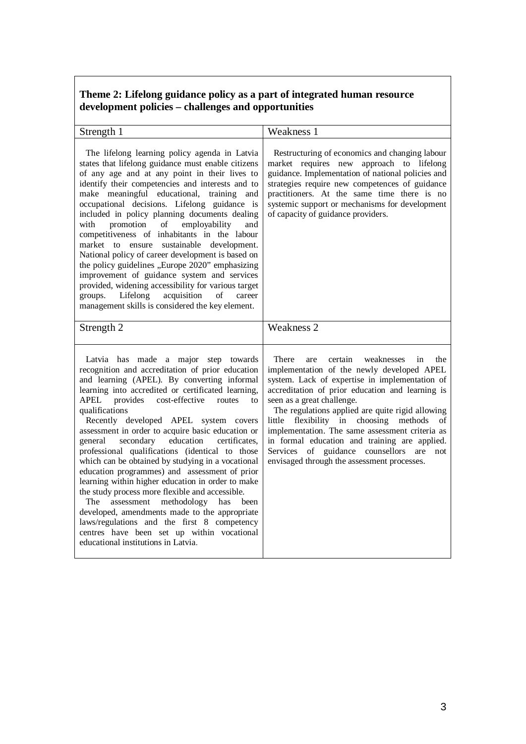## **Theme 2: Lifelong guidance policy as a part of integrated human resource development policies – challenges and opportunities**

| Strength 1                                                                                                                                                                                                                                                                                                                                                                                                                                                                                                                                                                                                                                                                                                                                                                                                                                                                                                                             | Weakness 1                                                                                                                                                                                                                                                                                                                                                                                                                                                                                                                                       |
|----------------------------------------------------------------------------------------------------------------------------------------------------------------------------------------------------------------------------------------------------------------------------------------------------------------------------------------------------------------------------------------------------------------------------------------------------------------------------------------------------------------------------------------------------------------------------------------------------------------------------------------------------------------------------------------------------------------------------------------------------------------------------------------------------------------------------------------------------------------------------------------------------------------------------------------|--------------------------------------------------------------------------------------------------------------------------------------------------------------------------------------------------------------------------------------------------------------------------------------------------------------------------------------------------------------------------------------------------------------------------------------------------------------------------------------------------------------------------------------------------|
| The lifelong learning policy agenda in Latvia<br>states that lifelong guidance must enable citizens<br>of any age and at any point in their lives to<br>identify their competencies and interests and to<br>make meaningful educational,<br>training<br>and<br>occupational decisions. Lifelong guidance is<br>included in policy planning documents dealing<br>with<br>promotion<br>$\sigma$<br>employability<br>and<br>competitiveness of inhabitants in the labour<br>market to ensure sustainable development.<br>National policy of career development is based on<br>the policy guidelines "Europe 2020" emphasizing<br>improvement of guidance system and services<br>provided, widening accessibility for various target<br>Lifelong<br>acquisition<br>of<br>groups.<br>career<br>management skills is considered the key element.                                                                                             | Restructuring of economics and changing labour<br>market requires new approach to lifelong<br>guidance. Implementation of national policies and<br>strategies require new competences of guidance<br>practitioners. At the same time there is no<br>systemic support or mechanisms for development<br>of capacity of guidance providers.                                                                                                                                                                                                         |
| Strength 2                                                                                                                                                                                                                                                                                                                                                                                                                                                                                                                                                                                                                                                                                                                                                                                                                                                                                                                             | <b>Weakness 2</b>                                                                                                                                                                                                                                                                                                                                                                                                                                                                                                                                |
| Latvia has made a major step towards<br>recognition and accreditation of prior education<br>and learning (APEL). By converting informal<br>learning into accredited or certificated learning,<br><b>APEL</b><br>provides<br>cost-effective<br>routes<br>to<br>qualifications<br>Recently developed APEL system covers<br>assessment in order to acquire basic education or<br>secondary<br>education<br>certificates.<br>general<br>professional qualifications (identical to those<br>which can be obtained by studying in a vocational<br>education programmes) and assessment of prior<br>learning within higher education in order to make<br>the study process more flexible and accessible.<br>assessment<br>methodology has<br>The<br>been<br>developed, amendments made to the appropriate<br>laws/regulations and the first 8 competency<br>centres have been set up within vocational<br>educational institutions in Latvia. | There<br>certain<br>weaknesses<br>the<br>in<br>are<br>implementation of the newly developed APEL<br>system. Lack of expertise in implementation of<br>accreditation of prior education and learning is<br>seen as a great challenge.<br>The regulations applied are quite rigid allowing<br>flexibility in choosing methods<br>little<br>of<br>implementation. The same assessment criteria as<br>in formal education and training are applied.<br>Services of guidance counsellors<br>are<br>not<br>envisaged through the assessment processes. |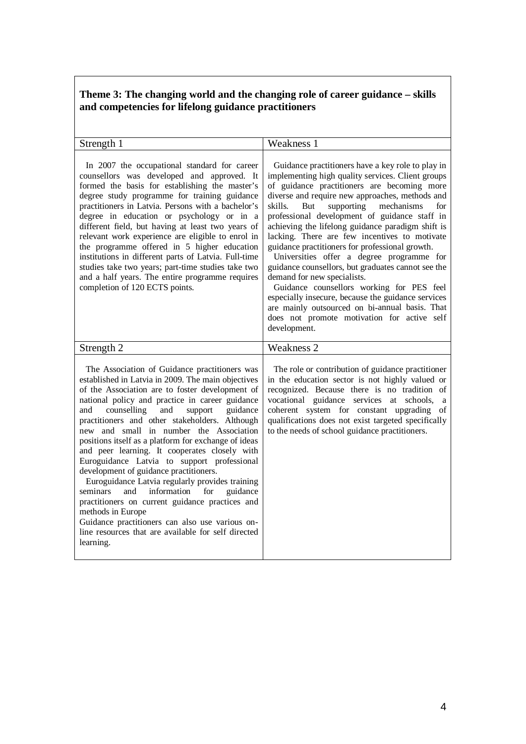#### **Theme 3: The changing world and the changing role of career guidance – skills and competencies for lifelong guidance practitioners**

| Strength 1                                                                                                                                                                                                                                                                                                                                                                                                                                                                                                                                                                                                                                                                                                                                                                                                                                                          | Weakness 1                                                                                                                                                                                                                                                                                                                                                                                                                                                                                                                                                                                                                                                                                                                                                                                                                    |
|---------------------------------------------------------------------------------------------------------------------------------------------------------------------------------------------------------------------------------------------------------------------------------------------------------------------------------------------------------------------------------------------------------------------------------------------------------------------------------------------------------------------------------------------------------------------------------------------------------------------------------------------------------------------------------------------------------------------------------------------------------------------------------------------------------------------------------------------------------------------|-------------------------------------------------------------------------------------------------------------------------------------------------------------------------------------------------------------------------------------------------------------------------------------------------------------------------------------------------------------------------------------------------------------------------------------------------------------------------------------------------------------------------------------------------------------------------------------------------------------------------------------------------------------------------------------------------------------------------------------------------------------------------------------------------------------------------------|
| In 2007 the occupational standard for career<br>counsellors was developed and approved. It<br>formed the basis for establishing the master's<br>degree study programme for training guidance<br>practitioners in Latvia. Persons with a bachelor's<br>degree in education or psychology or in a<br>different field, but having at least two years of<br>relevant work experience are eligible to enrol in<br>the programme offered in 5 higher education<br>institutions in different parts of Latvia. Full-time<br>studies take two years; part-time studies take two<br>and a half years. The entire programme requires<br>completion of 120 ECTS points.                                                                                                                                                                                                         | Guidance practitioners have a key role to play in<br>implementing high quality services. Client groups<br>of guidance practitioners are becoming more<br>diverse and require new approaches, methods and<br>supporting<br>skills.<br>But<br>mechanisms<br>for<br>professional development of guidance staff in<br>achieving the lifelong guidance paradigm shift is<br>lacking. There are few incentives to motivate<br>guidance practitioners for professional growth.<br>Universities offer a degree programme for<br>guidance counsellors, but graduates cannot see the<br>demand for new specialists.<br>Guidance counsellors working for PES feel<br>especially insecure, because the guidance services<br>are mainly outsourced on bi-annual basis. That<br>does not promote motivation for active self<br>development. |
| Strength 2                                                                                                                                                                                                                                                                                                                                                                                                                                                                                                                                                                                                                                                                                                                                                                                                                                                          | <b>Weakness 2</b>                                                                                                                                                                                                                                                                                                                                                                                                                                                                                                                                                                                                                                                                                                                                                                                                             |
| The Association of Guidance practitioners was<br>established in Latvia in 2009. The main objectives<br>of the Association are to foster development of<br>national policy and practice in career guidance<br>counselling<br>support<br>and<br>and<br>guidance<br>practitioners and other stakeholders. Although<br>new and small in number the Association<br>positions itself as a platform for exchange of ideas<br>and peer learning. It cooperates closely with<br>Euroguidance Latvia to support professional<br>development of guidance practitioners.<br>Euroguidance Latvia regularly provides training<br>information<br>for<br>seminars<br>guidance<br>and<br>practitioners on current guidance practices and<br>methods in Europe<br>Guidance practitioners can also use various on-<br>line resources that are available for self directed<br>learning. | The role or contribution of guidance practitioner<br>in the education sector is not highly valued or<br>recognized. Because there is no tradition of<br>vocational guidance services at<br>schools,<br>a<br>coherent system for constant upgrading of<br>qualifications does not exist targeted specifically<br>to the needs of school guidance practitioners.                                                                                                                                                                                                                                                                                                                                                                                                                                                                |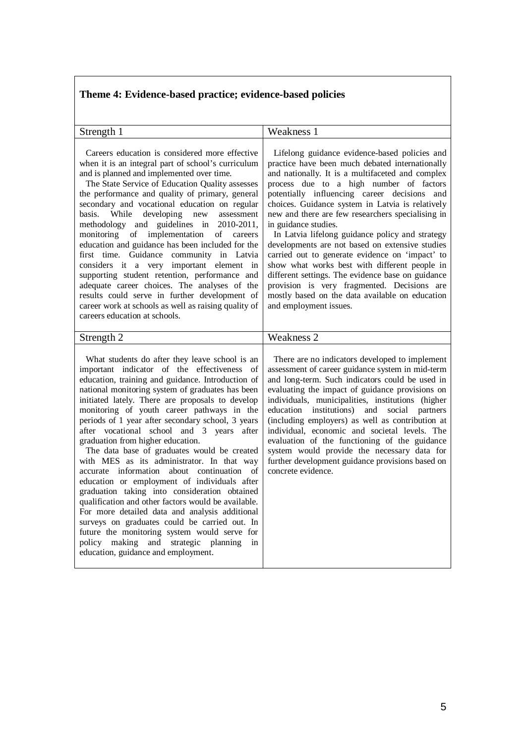# **Theme 4: Evidence-based practice; evidence-based policies**

| Strength 1                                                                                                                                                                                                                                                                                                                                                                                                                                                                                                                                                                                                                                                                                                                                                                                                                                                                                                                                                                                             | Weakness 1                                                                                                                                                                                                                                                                                                                                                                                                                                                                                                                                                                                                                                                                                                                                                                  |
|--------------------------------------------------------------------------------------------------------------------------------------------------------------------------------------------------------------------------------------------------------------------------------------------------------------------------------------------------------------------------------------------------------------------------------------------------------------------------------------------------------------------------------------------------------------------------------------------------------------------------------------------------------------------------------------------------------------------------------------------------------------------------------------------------------------------------------------------------------------------------------------------------------------------------------------------------------------------------------------------------------|-----------------------------------------------------------------------------------------------------------------------------------------------------------------------------------------------------------------------------------------------------------------------------------------------------------------------------------------------------------------------------------------------------------------------------------------------------------------------------------------------------------------------------------------------------------------------------------------------------------------------------------------------------------------------------------------------------------------------------------------------------------------------------|
| Careers education is considered more effective<br>when it is an integral part of school's curriculum<br>and is planned and implemented over time.<br>The State Service of Education Quality assesses<br>the performance and quality of primary, general<br>secondary and vocational education on regular<br>basis. While<br>developing new assessment<br>methodology and guidelines in 2010-2011,<br>monitoring of implementation<br>of<br>careers<br>education and guidance has been included for the<br>first time. Guidance community in Latvia<br>considers it a very important element in<br>supporting student retention, performance and<br>adequate career choices. The analyses of the<br>results could serve in further development of<br>career work at schools as well as raising quality of<br>careers education at schools.                                                                                                                                                              | Lifelong guidance evidence-based policies and<br>practice have been much debated internationally<br>and nationally. It is a multifaceted and complex<br>process due to a high number of factors<br>potentially influencing career decisions and<br>choices. Guidance system in Latvia is relatively<br>new and there are few researchers specialising in<br>in guidance studies.<br>In Latvia lifelong guidance policy and strategy<br>developments are not based on extensive studies<br>carried out to generate evidence on 'impact' to<br>show what works best with different people in<br>different settings. The evidence base on guidance<br>provision is very fragmented. Decisions are<br>mostly based on the data available on education<br>and employment issues. |
| Strength 2                                                                                                                                                                                                                                                                                                                                                                                                                                                                                                                                                                                                                                                                                                                                                                                                                                                                                                                                                                                             | <b>Weakness 2</b>                                                                                                                                                                                                                                                                                                                                                                                                                                                                                                                                                                                                                                                                                                                                                           |
| What students do after they leave school is an<br>important indicator of the effectiveness of<br>education, training and guidance. Introduction of<br>national monitoring system of graduates has been<br>initiated lately. There are proposals to develop<br>monitoring of youth career pathways in the<br>periods of 1 year after secondary school, 3 years<br>after vocational school and 3 years after<br>graduation from higher education.<br>The data base of graduates would be created<br>with MES as its administrator. In that way<br>accurate information<br>about continuation<br>of<br>education or employment of individuals after<br>graduation taking into consideration obtained<br>qualification and other factors would be available.<br>For more detailed data and analysis additional<br>surveys on graduates could be carried out. In<br>future the monitoring system would serve for<br>making<br>and strategic planning<br>policy<br>in<br>education, guidance and employment. | There are no indicators developed to implement<br>assessment of career guidance system in mid-term<br>and long-term. Such indicators could be used in<br>evaluating the impact of guidance provisions on<br>individuals, municipalities, institutions (higher<br>education institutions)<br>and social<br>partners<br>(including employers) as well as contribution at<br>individual, economic and societal levels. The<br>evaluation of the functioning of the guidance<br>system would provide the necessary data for<br>further development guidance provisions based on<br>concrete evidence.                                                                                                                                                                           |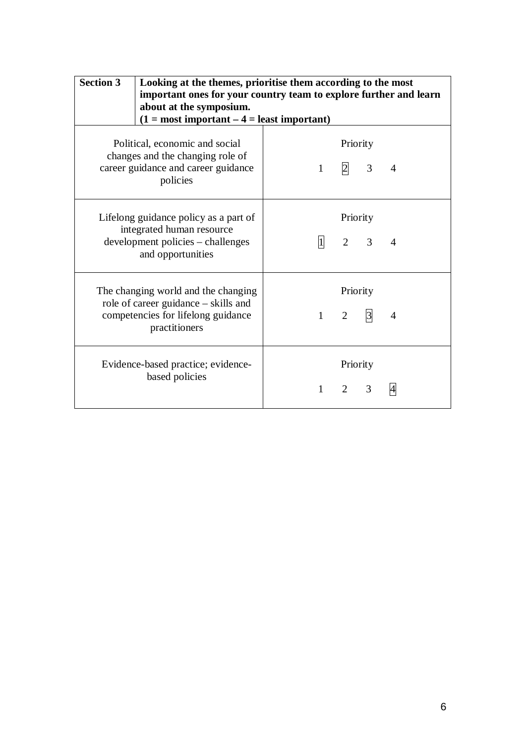| <b>Section 3</b> | Looking at the themes, prioritise them according to the most<br>important ones for your country team to explore further and learn<br>about at the symposium.<br>$(1 = most important – 4 = least important)$ |              |                 |                                                    |                |
|------------------|--------------------------------------------------------------------------------------------------------------------------------------------------------------------------------------------------------------|--------------|-----------------|----------------------------------------------------|----------------|
|                  | Political, economic and social<br>changes and the changing role of<br>career guidance and career guidance<br>policies                                                                                        | $1 \quad$    |                 | Priority<br>$\begin{array}{ccc} 2 & 3 \end{array}$ | $\overline{A}$ |
|                  | Lifelong guidance policy as a part of<br>integrated human resource<br>development policies – challenges<br>and opportunities                                                                                 |              | $\vert 1 \vert$ | Priority<br>$2 \quad 3$                            | $\overline{A}$ |
|                  | The changing world and the changing<br>role of career guidance – skills and<br>competencies for lifelong guidance<br>practitioners                                                                           | $1 \quad$    | $\overline{2}$  | Priority<br>$\vert 3 \vert$                        | 4              |
|                  | Evidence-based practice; evidence-<br>based policies                                                                                                                                                         | $\mathbf{1}$ | $\overline{2}$  | Priority<br>3                                      |                |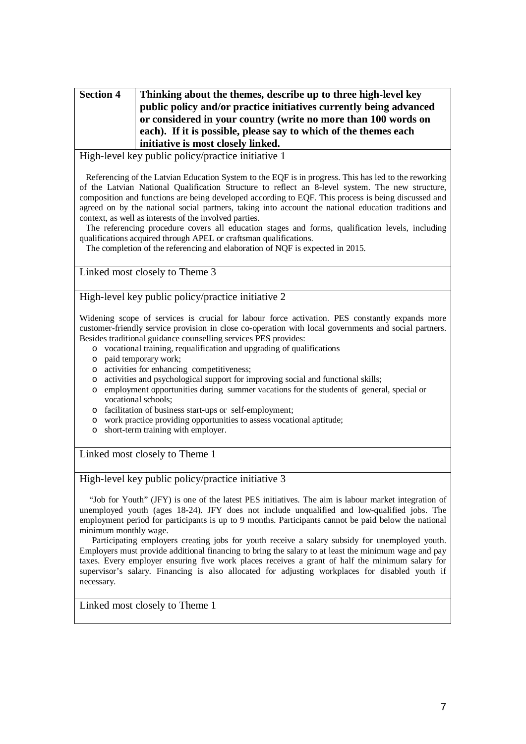| <b>Section 4</b> | Thinking about the themes, describe up to three high-level key     |  |
|------------------|--------------------------------------------------------------------|--|
|                  | public policy and/or practice initiatives currently being advanced |  |
|                  | or considered in your country (write no more than 100 words on     |  |
|                  | each). If it is possible, please say to which of the themes each   |  |
|                  | initiative is most closely linked.                                 |  |

High-level key public policy/practice initiative 1

Referencing of the Latvian Education System to the EQF is in progress. This has led to the reworking of the Latvian National Qualification Structure to reflect an 8-level system. The new structure, composition and functions are being developed according to EQF. This process is being discussed and agreed on by the national social partners, taking into account the national education traditions and context, as well as interests of the involved parties.

The referencing procedure covers all education stages and forms, qualification levels, including qualifications acquired through APEL or craftsman qualifications.

The completion of the referencing and elaboration of NQF is expected in 2015.

Linked most closely to Theme 3

High-level key public policy/practice initiative 2

Widening scope of services is crucial for labour force activation. PES constantly expands more customer-friendly service provision in close co-operation with local governments and social partners. Besides traditional guidance counselling services PES provides:

- o vocational training, requalification and upgrading of qualifications
- o paid temporary work;
- o activities for enhancing competitiveness;
- o activities and psychological support for improving social and functional skills;
- o employment opportunities during summer vacations for the students of general, special or vocational schools;
- o facilitation of business start-ups or self-employment;
- o work practice providing opportunities to assess vocational aptitude;
- o short-term training with employer.

Linked most closely to Theme 1

High-level key public policy/practice initiative 3

"Job for Youth" (JFY) is one of the latest PES initiatives. The aim is labour market integration of unemployed youth (ages 18-24). JFY does not include unqualified and low-qualified jobs. The employment period for participants is up to 9 months. Participants cannot be paid below the national minimum monthly wage.

Participating employers creating jobs for youth receive a salary subsidy for unemployed youth. Employers must provide additional financing to bring the salary to at least the minimum wage and pay taxes. Every employer ensuring five work places receives a grant of half the minimum salary for supervisor's salary. Financing is also allocated for adjusting workplaces for disabled youth if necessary.

Linked most closely to Theme 1